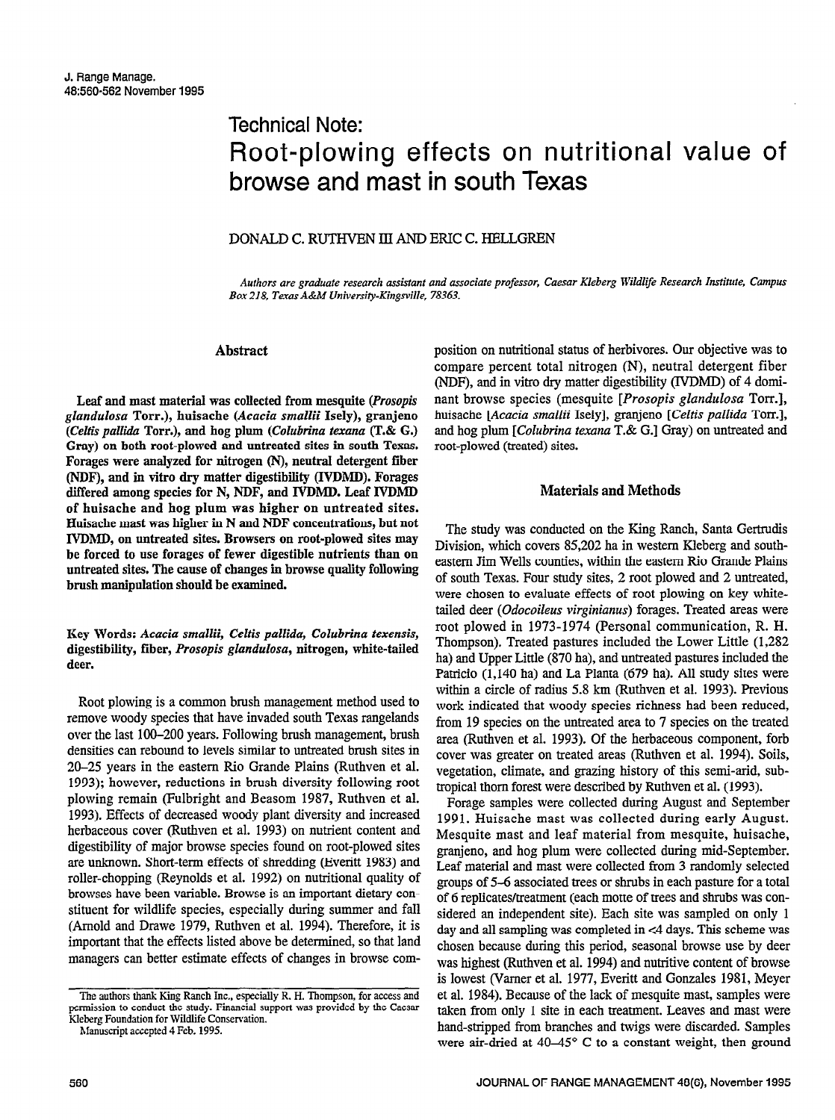# Technical Note: Root-plowing effects on nutritional value of browse and mast in south Texas

## DONALD C. RUTHVEN III AND ERIC C. HELLGREN

Authors are graduate research assistant and associate professor, Caesar Kleberg Wildlife Research Institute, Campus Box 218, Texas A&M University-Kingsville, 78363.

### Abstract

Leaf and mast material was collected from mesquite (Prosopis glandulosa Torr.), huisache (Acacia smallii Isely), granjeno (Celtis pallida Torr.), and hog plum (Colubrina texana (T.& G.) Gray) on both root-plowed and untreated sites in south Texas. Forages were analyzed for nitrogen (N), neutral detergent fiber (NDF), and in vitro dry matter digestibility (IVDMD). Forages differed among species for N, NDF, and IVDMD. Leaf IVDMD of huisache and hog plum was higher on untreated sites. Huisache mast was higher in N and NDF concentrations, but not IVDMD, on untreated sites. Browsers on root-plowed sites may be forced to use forages of fewer digestible nutrients than on untreated sites. The cause of changes in browse quality following brush manipulation show that the examined be examined.

Key Words: Acacia smallii, Celtis pallida, Colubrina texensis, digestibility, which is the partial of the tailor of the tailor which is a set of the tailor which the tailor which is a set of the tailor which is a set of the tailor which is a set of the tailor which is a set of the tai digestibility, fiber, Prosopis glandulosa, nitrogen, white-tailed<br>deer.

Root plowing is a common brush management method used to refer to wood prowing is a common press management include used to remove woody species that have invaded south Texas rangelands over the last 100-200 years. Following brush management, brush densities can rebound to levels similar to untreated brush sites in 20–25 years in the eastern Rio Grande Plains (Ruthven et al. 1993); however, reductions in brush diversity following root plowing remain (Fulbright and Beasom 1987, Ruthven et al. 1993). Effects of decreased woody plant diversity and increased herbaceous cover (Ruthven et al. 1993) on nutrient content and digestibility of major browse species found on root-plowed sites are unknown. Short-term effects of shredding (Everitt 1983) and roller-chopping (Reynolds et al. 1992) on nutritional quality of browses have been variable. Browse is an important dietary constituent for wildlife species, especially during summer and fall (Arnold and Drawe 1979, Ruthven et al. 1994). Therefore, it is important that the effects listed above be determined, so that land managers can better estimate effects of changes in browse composition on nutritional status of herbivores. Our objective was to compare percent total nitrogen (N), neutral detergent fiber (NDF), and in vitro dry matter digestibility (IVDMD) of 4 dominant browse species (mesquite [Prosopis glandulosa Torr.], huisache [Acacia smallii Isely], granjeno [Celtis pallida Torr.], and hog plum [Colubrina texana T.& G.] Gray) on untreated and root-plowed (treated) sites.

## Materials and Methods

The study was conducted on the Ring Ranch, Santa Gertrudis Division, which covers 85,202 ha in western Kleberg and southeastern Jim Wells counties, within the eastern Rio Grande Plains  $\epsilon$  south  $\epsilon$  south Texas. Four study sites,  $\epsilon$  and  $\epsilon$  root plowed and 2 units  $\epsilon$  $\alpha$  south fexas. Four study sites,  $\alpha$  foot plowed and  $\alpha$  underted were chosen to evaluate effects of root plowing on key whitetailed deer (Odocoileus virginianus) forages. Treated areas were root plowed in 1973-1974 (Personal communication, R. H. Thompson). Treated pastures included the Lower Little (1,282) ha) and Upper Little (870 ha), and untreated pastures included the Patricio (1,140 ha) and La Planta (679 ha). All study sites were within a circle of radius 5.8 km (Ruthven et al. 1993). Previous work indicated that woody species richness had been reduced, from 19 species on the untreated area to 7 species on the treated area (Ruthven et al. 1993). Of the herbaceous component, forb cover was greater on treated areas (Ruthven et al. 1994). Soils, vegetation, climate, and grazing history of this semi-arid, subtropical thorn forest were described by Ruthven et al. (1993).

Forage samples were collected during August and September 1991. Huisache mast was collected during early August. Mesquite mast and leaf material from mesquite, huisache, granjeno, and hog plum were collected during mid-September. Leaf material and mast were collected from 3 randomly selected groups of 5–6 associated trees or shrubs in each pasture for a total of 6 replicates/treatment (each motte of trees and shrubs was considered an independent site). Each site was sampled on only 1 day and all sampling was completed in  $\leq 4$  days. This scheme was chosen because during this period, seasonal browse use by deer was highest (Ruthven et al. 1994) and nutritive content of browse is lowest (Varner et al. 1977, Everitt and Gonzales 1981, Meyer et al. 1984). Because of the lack of mesquite mast, samples were taken from only 1 site in each treatment. Leaves and mast were hand-stripped from branches and twigs were discarded. Samples were air-dried at  $40-45^{\circ}$  C to a constant weight, then ground

The authors thank King Ranch Inc., especially R. H. Thompson, for access and permission to conduct the study. Financial support was provided by the Caesar Kleberg Foundation for Wildlife Conservation.

Manuscript accepted 4 Feb. 1995.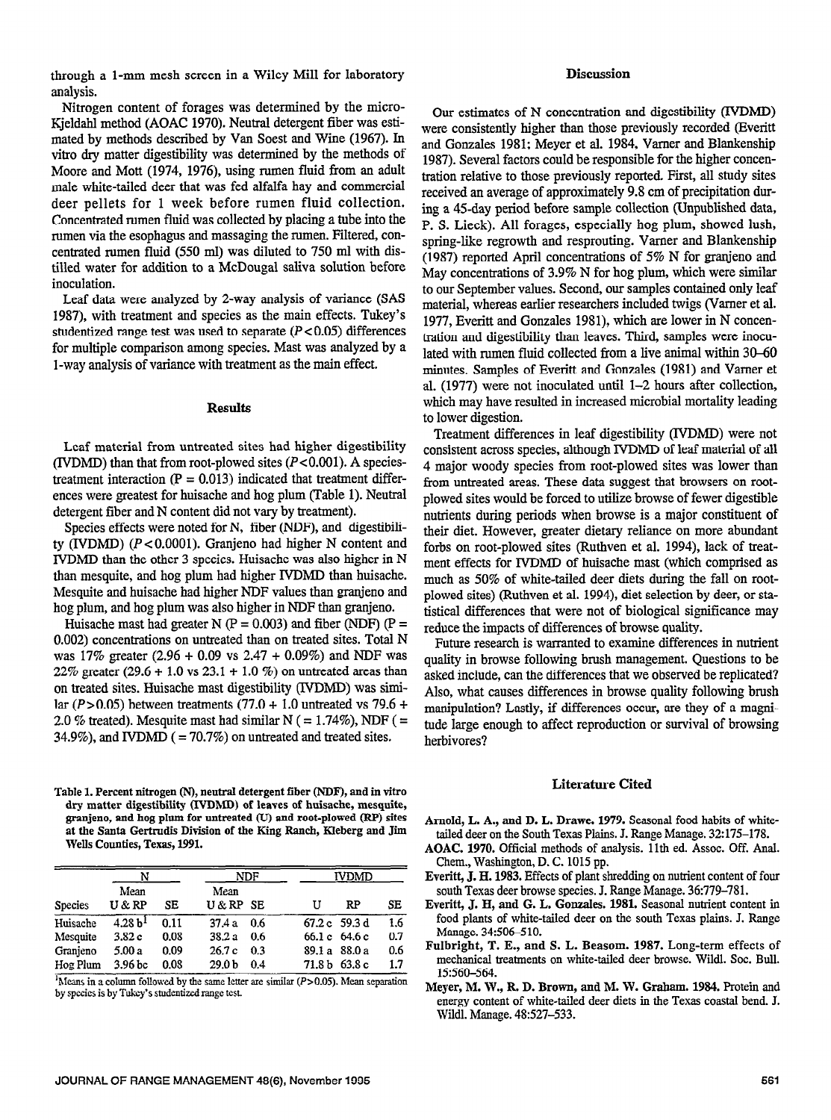through a l-mm mesh screen in a Wiley Mill for laboratory analysis.

Nitrogen content of forages was determined by the micro-Kjeldahl method (AOAC 1970). Neutral detergent fiber was estimated by methods described by Van Soest and Wine (1967). In vitro dry matter digestibility was determined by the methods of Moore and Mott (1974, 1976), using rumen fluid from an adult male white-tailed deer that was fed alfalfa hay and commercial deer pellets for 1 week before rumen fluid collection. Concentrated rumen fluid was collected by placing a tube into the rumen via the esophagus and massaging the rumen. Filtered, concentrated rumen fluid (550 ml) was diluted to 750 ml with distilled water for addition to a McDougal saliva solution before inoculation.

Leaf data were analyzed by 2-way analysis of variance (SAS 1987), with treatment and species as the main effects. Tukey's studentized range test was used to separate ( $P < 0.05$ ) differences for multiple comparison among species. Mast was analyzed by a l-way analysis of variance with treatment as the main effect.

### **Results**

Leaf material from untreated sites had higher digestibility (IVDMD) than that from root-plowed sites  $(P<0.001)$ . A speciestreatment interaction  $(P = 0.013)$  indicated that treatment differences were greatest for huisache and hog plum (Table 1). Neutral detergent fiber and N content did not vary by treatment).

Species effects were noted for N, fiber (NDF), and digestibility (IVDMD)  $(P<0.0001)$ . Granjeno had higher N content and IVDMD than the other 3 species. Huisache was also higher in N than mesquite, and hog plum had higher IVDMD than huisache. Mesquite and huisache had higher NDF values than granjeno and hog plum, and hog plum was also higher in NDF than granjeno.

Huisache mast had greater N ( $P = 0.003$ ) and fiber (NDF) ( $P =$ 0.002) concentrations on untreated than on treated sites. Total N was 17% greater (2.96 + 0.09 vs 2.47 + 0.09%) and NDF was 22% greater (29.6 + 1.0 vs 23.1 + 1.0 %) on untreated areas than on treated sites. Huisache mast digestibility (IVDMD) was simion dealed sites. Huisache mast digestionity (*xvDivD*) was situa- $2.0 \frac{M}{V}$  treated mast had similar normal similar normal similar  $N = 1.74 \frac{M}{V}$ 2.0 % treated). Mesquite mast had similar N ( = 1.74%), NDF ( = 34.9%), and IVDMD ( = 70.7%) on untreated and treated sites.

ible 1. Percent mirogen (N), neutral detergent liber (NDF), and in vitro dry matter digestibility (IVDMD) of leaves of huisache, mesquite, granjeno, and hog plum for untreated (U) and root-plowed (RP) sites at the Santa Gertrudis Division of the King Ranch, Kleberg and Jim Wells Counties, Texas, 1991.

Table 1. Percent nitrogen (N), neutral deterministic fiber (N), and in vitrogen fiber (N), and in vitrogen  $\mathcal{L}$ 

| <b>Species</b> | N                   |      | NDF               |     | <b>IVDMD</b> |               |     |
|----------------|---------------------|------|-------------------|-----|--------------|---------------|-----|
|                | Mean<br>U & RP      | SЕ   | Mean<br>U & RP SE |     | U            | RP            | SE  |
| Huisache       | 4.28 b <sup>1</sup> | 0.11 | 37.4a             | 0.6 |              | 67.2 c 59.3 d | 1.6 |
| Mesquite       | 3.82c               | 0.08 | 38.2 a            | 0.6 |              | 66.1 c 64.6 c | 0.7 |
| Granieno       | 5.00 a              | 0.09 | 26.7c             | 0.3 |              | 89.1 a 88.0 a | 0.6 |
| Hog Plum       | 3.96 <sub>bc</sub>  | 0.08 | 29.0 <sub>b</sub> | 0.4 |              | 71.8 b 63.8 c | 1.7 |

<sup>1</sup>Means in a column followed by the same letter are similar ( $P > 0.05$ ). Mean separation by species is by Tukey's studentized range test.

#### **Discussion**

Our estimates of N concentration and digestibility (IVDMD) were consistently higher than those previously recorded (Everitt and Gonzales 1981; Meyer et al. 1984, Varner and Blankenship 1987). Several factors could be responsible for the higher concentration relative to those previously reported. First, all study sites received an average of approximately 9.8 cm of precipitation during a 45-day period before sample collection (Unpublished data, P. S. Lieck). All forages, especially hog plum, showed lush, spring-like regrowth and resprouting. Vamer and Blankenship (1987) reported April concentrations of 5% N for granjeno and May concentrations of 3.9% N for hog plum, which were similar to our September values. Second, our samples contained only leaf material, whereas earlier researchers included twigs (Vamer et al. 1977, Everitt and Gonzales 1981), which are lower in N concentration and digestibility than leaves. Third, samples were inoculated with rumen fluid collected from a live animal within 30-60 minutes. Samples of Everitt and Gonzales (1981) and Vamer et al. (1977) were not inoculated until l-2 hours after collection, which may have resulted in increased microbial mortality leading to lower digestion.

Treatment differences in leaf digestibility (IVDMD) were not consistent across species, although IVDMD of leaf material of all 4 major woody species from root-plowed sites was lower than from untreated areas. These data suggest that browsers on rootplowed sites would be forced to utilize browse of fewer digestible nutrients during periods when browse is a major constituent of their diet. However, greater dietary reliance on more abundant forbs on root-plowed sites (Ruthven et al. 1994), lack of treatment effects for IVDMD of huisache mast (which comprised as much as 50% of white-tailed deer diets during the fall on rootplowed sites) (Ruthven et al. 1994), diet selection by deer, or statistical differences that were not of biological significance may reduce the impacts of differences of browse quality.

Future research is warranted to examine differences in nutrient quality in browse following brush management. Questions to be asked include, can the differences that we observed be replicated? Also, what causes differences in browse quality following brush mon, what causes unferences in browse quality following orter manipulation? Lastly, if differences occur, are they of a magnitude large enough to affect reproduction or survival of browsing<br>herbivores?

#### Literature Cited

- AOAC. 1970. Official methods of analysis. 11th ed. Assoc. Off. Anal. Chem., Washington, D. C. 1015 pp.
- Everitt, J. H. 1983. Effects of plant shredding on nutrient content of four south Texas deer browse species. J. Range Manage. 36:779-781.
- Everitt, J. H. and G. L. Gonzales. 1981. Seasonal nutrient content in food plants of white-tailed deer on the south Texas plains. J. Range Manage. 34:506-510.
- Fulbright, T. E., and S. L. Beasom. 1987. Long-term effects of mechanical treatments on white-tailed deer browse. Wildl. Soc. Bull. 15:560-564.
- Mever, M. W., R. D. Brown, and M. W. Graham. 1984. Protein and energy content of white-tailed deer diets in the Texas coastal bend. J. Wildl. Manage. 48:527-533.

Arnold, L. A., and D. L. Drawe. 1979. Seasonal food habits of white $t_{\rm end}$  and  $t_{\rm L}$  and  $t_{\rm L}$ .  $t_{\rm L}$  and  $t_{\rm T}$  and  $t_{\rm T}$  and  $t_{\rm T}$  are  $t_{\rm end}$  and  $t_{\rm L}$  and  $t_{\rm T}$ tailed deer on the South Texas Plains. J. Range Manage. 32:175-178.